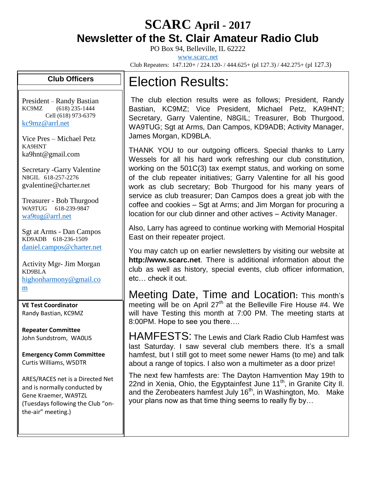## **SCARC April - <sup>2017</sup> Newsletter of the St. Clair Amateur Radio Club**

PO Box 94, Belleville, IL 62222

[www.scarc.net](http://www.scarc.net/)

Club Repeaters: 147.120+ / 224.120- / 444.625+ (pl 127.3) / 442.275+ (pl 127.3)

## **Club Officers**

President – Randy Bastian KC9MZ (618) 235-1444 Cell (618) 973-6379 [kc9mz@arrl.net](mailto:kc9mz@arrl.net)

Vice Pres – Michael Petz KA9HNT ka9hnt@gmail.com

Secretary -Garry Valentine N8GIL 618-257-2276 gvalentine@charter.net

Treasurer - Bob Thurgood WA9TUG 618-239-9847 [wa9tug@arrl.net](mailto:wa9tug@arrl.net)

Sgt at Arms - Dan Campos KD9ADB 618-236-1509 [daniel.campos@charter.net](mailto:daniel.campos@charter.net)

Activity Mgr- Jim Morgan KD9BLA [highonharmony@gmail.co](mailto:highonharmony@gmail.com) [m](mailto:highonharmony@gmail.com)

**VE Test Coordinator** Randy Bastian, KC9MZ

**Repeater Committee** John Sundstrom, WA0LIS

**Emergency Comm Committee** Curtis Williams, W5DTR

ARES/RACES net is a Directed Net and is normally conducted by Gene Kraemer, WA9TZL (Tuesdays following the Club "onthe-air" meeting.)

## Election Results:

The club election results were as follows; President, Randy Bastian, KC9MZ; Vice President, Michael Petz, KA9HNT; Secretary, Garry Valentine, N8GIL; Treasurer, Bob Thurgood, WA9TUG; Sgt at Arms, Dan Campos, KD9ADB; Activity Manager, James Morgan, KD9BLA.

THANK YOU to our outgoing officers. Special thanks to Larry Wessels for all his hard work refreshing our club constitution, working on the 501C(3) tax exempt status, and working on some of the club repeater initiatives; Garry Valentine for all his good work as club secretary; Bob Thurgood for his many years of service as club treasurer; Dan Campos does a great job with the coffee and cookies – Sgt at Arms; and Jim Morgan for procuring a location for our club dinner and other actives – Activity Manager.

Also, Larry has agreed to continue working with Memorial Hospital East on their repeater project.

You may catch up on earlier newsletters by visiting our website at **http://www.scarc.net**. There is additional information about the club as well as history, special events, club officer information, etc… check it out.

Meeting Date, Time and Location**:** This month's meeting will be on April 27<sup>th</sup> at the Belleville Fire House #4. We will have Testing this month at 7:00 PM. The meeting starts at 8:00PM. Hope to see you there….

HAMFESTS: The Lewis and Clark Radio Club Hamfest was last Saturday. I saw several club members there. It's a small hamfest, but I still got to meet some newer Hams (to me) and talk about a range of topics. I also won a multimeter as a door prize!

The next few hamfests are: The Dayton Hamvention May 19th to 22nd in Xenia, Ohio, the Egyptainfest June 11<sup>th</sup>, in Granite City II. and the Zerobeaters hamfest July  $16<sup>th</sup>$ , in Washington, Mo. Make your plans now as that time thing seems to really fly by…